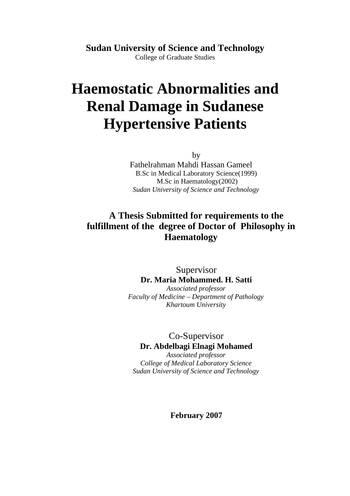**Sudan University of Science and Technology** College of Graduate Studies

# **Haemostatic Abnormalities and Renal Damage in Sudanese Hypertensive Patients**

by

Fathelrahman Mahdi Hassan Gameel B.Sc in Medical Laboratory Science(1999) M.Sc in Haematology(2002) *Sudan University of Science and Technology*

### **A Thesis Submitted for requirements to the fulfillment of the degree of Doctor of Philosophy in Haematology**

Supervisor **Dr. Maria Mohammed. H. Satti** *Associated professor Faculty of Medicine – Department of Pathology Khartoum University*

Co-Supervisor **Dr. Abdelbagi Elnagi Mohamed** *Associated professor College of Medical Laboratory Science Sudan University of Science and Technology*

**February 2007**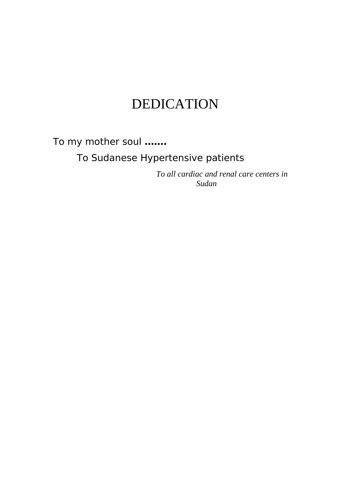# DEDICATION

To my mother soul **…….**

To Sudanese Hypertensive patients

 *To all cardiac and renal care centers in Sudan*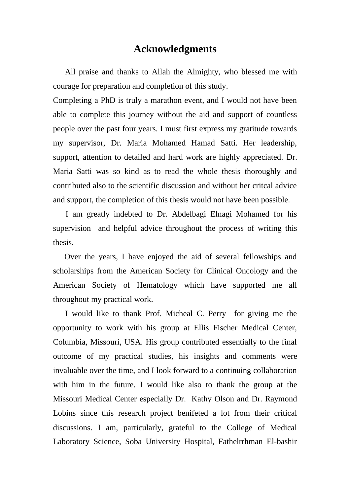#### **Acknowledgments**

All praise and thanks to Allah the Almighty, who blessed me with courage for preparation and completion of this study.

Completing a PhD is truly a marathon event, and I would not have been able to complete this journey without the aid and support of countless people over the past four years. I must first express my gratitude towards my supervisor, Dr. Maria Mohamed Hamad Satti. Her leadership, support, attention to detailed and hard work are highly appreciated. Dr. Maria Satti was so kind as to read the whole thesis thoroughly and contributed also to the scientific discussion and without her critcal advice and support, the completion of this thesis would not have been possible.

 I am greatly indebted to Dr. Abdelbagi Elnagi Mohamed for his supervision and helpful advice throughout the process of writing this thesis.

 Over the years, I have enjoyed the aid of several fellowships and scholarships from the American Society for Clinical Oncology and the American Society of Hematology which have supported me all throughout my practical work.

 I would like to thank Prof. Micheal C. Perry for giving me the opportunity to work with his group at Ellis Fischer Medical Center, Columbia, Missouri, USA. His group contributed essentially to the final outcome of my practical studies, his insights and comments were invaluable over the time, and I look forward to a continuing collaboration with him in the future. I would like also to thank the group at the Missouri Medical Center especially Dr. Kathy Olson and Dr. Raymond Lobins since this research project benifeted a lot from their critical discussions. I am, particularly, grateful to the College of Medical Laboratory Science, Soba University Hospital, Fathelrrhman El-bashir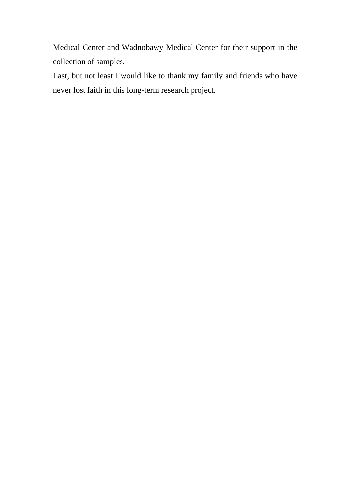Medical Center and Wadnobawy Medical Center for their support in the collection of samples.

Last, but not least I would like to thank my family and friends who have never lost faith in this long-term research project.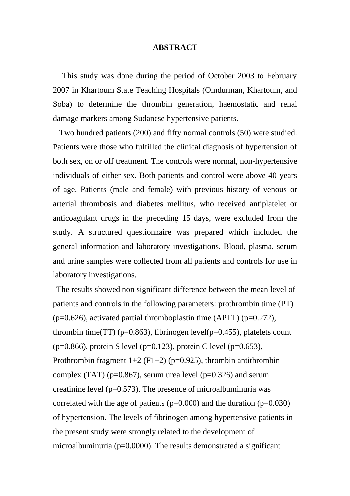#### **ABSTRACT**

 This study was done during the period of October 2003 to February 2007 in Khartoum State Teaching Hospitals (Omdurman, Khartoum, and Soba) to determine the thrombin generation, haemostatic and renal damage markers among Sudanese hypertensive patients.

 Two hundred patients (200) and fifty normal controls (50) were studied. Patients were those who fulfilled the clinical diagnosis of hypertension of both sex, on or off treatment. The controls were normal, non-hypertensive individuals of either sex. Both patients and control were above 40 years of age. Patients (male and female) with previous history of venous or arterial thrombosis and diabetes mellitus, who received antiplatelet or anticoagulant drugs in the preceding 15 days, were excluded from the study. A structured questionnaire was prepared which included the general information and laboratory investigations. Blood, plasma, serum and urine samples were collected from all patients and controls for use in laboratory investigations.

 The results showed non significant difference between the mean level of patients and controls in the following parameters: prothrombin time (PT) ( $p=0.626$ ), activated partial thromboplastin time (APTT) ( $p=0.272$ ), thrombin time(TT) ( $p=0.863$ ), fibrinogen level( $p=0.455$ ), platelets count ( $p=0.866$ ), protein S level ( $p=0.123$ ), protein C level ( $p=0.653$ ), Prothrombin fragment  $1+2$  (F1+2) (p=0.925), thrombin antithrombin complex (TAT) ( $p=0.867$ ), serum urea level ( $p=0.326$ ) and serum creatinine level ( $p=0.573$ ). The presence of microalbuminuria was correlated with the age of patients ( $p=0.000$ ) and the duration ( $p=0.030$ ) of hypertension. The levels of fibrinogen among hypertensive patients in the present study were strongly related to the development of microalbuminuria (p=0.0000). The results demonstrated a significant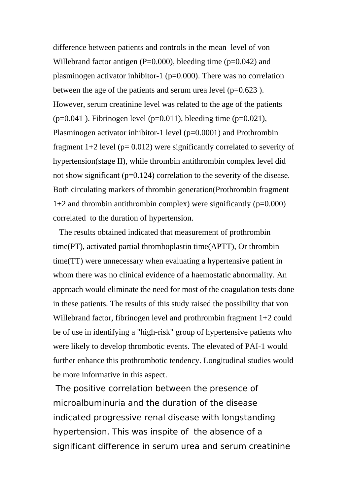difference between patients and controls in the mean level of von Willebrand factor antigen ( $P=0.000$ ), bleeding time ( $p=0.042$ ) and plasminogen activator inhibitor-1 (p=0.000). There was no correlation between the age of the patients and serum urea level  $(p=0.623)$ . However, serum creatinine level was related to the age of the patients ( $p=0.041$ ). Fibrinogen level ( $p=0.011$ ), bleeding time ( $p=0.021$ ), Plasminogen activator inhibitor-1 level (p=0.0001) and Prothrombin fragment  $1+2$  level ( $p= 0.012$ ) were significantly correlated to severity of hypertension(stage II), while thrombin antithrombin complex level did not show significant (p=0.124) correlation to the severity of the disease. Both circulating markers of thrombin generation(Prothrombin fragment  $1+2$  and thrombin antithrombin complex) were significantly ( $p=0.000$ ) correlated to the duration of hypertension.

 The results obtained indicated that measurement of prothrombin time(PT), activated partial thromboplastin time(APTT), Or thrombin time(TT) were unnecessary when evaluating a hypertensive patient in whom there was no clinical evidence of a haemostatic abnormality. An approach would eliminate the need for most of the coagulation tests done in these patients. The results of this study raised the possibility that von Willebrand factor, fibrinogen level and prothrombin fragment 1+2 could be of use in identifying a "high-risk" group of hypertensive patients who were likely to develop thrombotic events. The elevated of PAI-1 would further enhance this prothrombotic tendency. Longitudinal studies would be more informative in this aspect.

The positive correlation between the presence of microalbuminuria and the duration of the disease indicated progressive renal disease with longstanding hypertension. This was inspite of the absence of a significant difference in serum urea and serum creatinine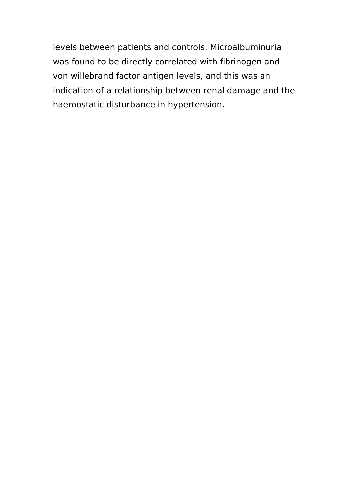levels between patients and controls. Microalbuminuria was found to be directly correlated with fibrinogen and von willebrand factor antigen levels, and this was an indication of a relationship between renal damage and the haemostatic disturbance in hypertension.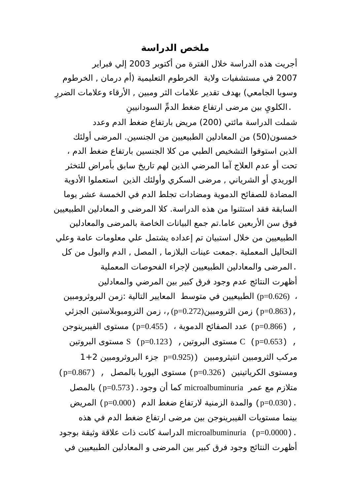#### **ملخص الدراسة**

أجريت هذه الدراسة خلل الفترة من أكتوبر 2003 إلي فبراير 2007 في مستشفيات ولية الخرطوم التعليمية (أم درمان , الخرطوم وسوبا الجامعي) بهدف تقدير علامات الثر ومبين , الأرقاء وعلامات الضررِ

ِن ِي بين مرضى ارتفاع ضغط الد ّم السودانيي .الكلو شملت الدراسة مائتي (200) مريض بارتفاع ضغط الدم وعدد خمسون(50) من المعادلين الطبيعيين من الجنسين. المرضى أولئك الذين استوفوا التشخيص الطبي من كل الجنسين بارتفاع ضغط الدم ، تحت أو عدم العلج آما المرضي الذين لهم تاريخ سابق بأمراض للتخثر الوريدي أو الشرياني , مرضى السكري وأولئك الذين استعملوا الدوية المضادة للصفائح الدموية ومضادات تجلط الدم في الخمسة عشر يوما السابقة فقد استثنوا من هذه الدراسة. كل المرضى و المعادلين الطبيعيين فوق سن الربعين عاما.تم جمع البيانات الخاصة بالمرضى والمعادلين الطبيعيين من خلل استبيان تم إعداده يشتمل علي معلومات عامة وعلي التحاليل المعملية .جمعت عينات البلزما , المصل , الدم والبول من كل .المرضى والمعادلين الطبيعيين لجراء الفحوصات المعملية أظهرت النتائج عدم وجود فرق كبير بين المرضي والمعادلين ، (0.626=p (الطبيعيين في متوسط المعايير التالية :زمن البروثرومبين ,(0.863=p (زمن الثرومبين(0.272=p(،, زمن الثرومبوبلستين الجزئي , (0.866=p (عدد الصفائح الدموية ، (0.455=p (مستوى الفيبرينوجن , (0.653=p (C مستوى البروتين, (0.123=p (S مستوى البروتين مركب الثرومبين انتيثرومبين ((0.925=p جزء البروثرومبين 1+2 ومستوى الكرياتينين (0.326=p (مستوى اليوريا بالمصل , (0.867=p( متلزم مع عمر microalbuminuria كما أن وجود.(0.573=p (بالمصل .(0.030=p (والمدة الزمنية لرتفاع ضغط الدم (0.000=p (المريض بينما مستويات الفيبرينوجن بين مرضى ارتفاع ضغط الدم في هذه .(0.0000=p (microalbuminuria الدراسة كانت ذات علقة وثيقة بوجود أظهرت النتائج وجود فرق كبير بين المرضى و المعادلين الطبيعيين في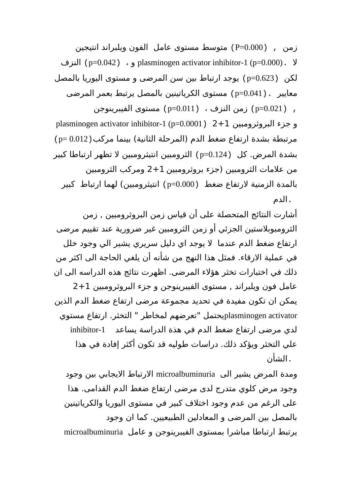زمن , (0.000=P (متوسط مستوى عامل الفون ويلبراند انتيجين النزف) p=0.042) ، و plasminogen activator inhibitor-1 (p=0.000). ل لكن (0.623=p (يوجد ارتباط بين سن المرضى و مستوى اليوريا بالمصل معايير .(0.041=p (مستوى الكرياتينين بالمصل يرتبط بعمر المرضى , (0.021=p (زمن النزف ، (0.011=p (مستوى الفيبرينوجن plasminogen activator inhibitor-1 (p=0.0001) 2+1 البروثرومبين جزء و مرتبطة بشدة ارتفاع ضغط الدم (المرحلة الثانية) بينما مركب(0.012 =p( بشدة المرض. كل (0.124=p (الثرومبين انتيثرومبين ل تظهر ارتباطا كبير من علمات الثرومبين (جزء بروثرومبين 2+1 ومركب الثرومبين بالمدة الزمنية لرتفاع ضغط (0.000=p (انتيثرومبين) لهما ارتباط كبير .الدم

أشارت النتائج المتحصلة على أن قياس زمن البروثرومبين , زمن الثرومبوبلستين الجزئي أو زمن الثرومبين غير ضرورية عند تقييم مرضى ارتفاع ضغط الدم عندما ل يوجد اي دليل سريري يشير الي وجود خلل في عملية الرقاء. فمثل هذا النهج من شأنه أن يلغي الحاجة الى اكثر من ذلك في اختبارات تخثر هؤلء المرضى. اظهرت نتائج هذه الدراسه الى ان عامل فون ويلبراند , مستوى الفيبرينوجن و جزء البروثرومبين 2+1 يمكن ان تكون مفيدة في تحديد مجموعة مرضى ارتفاع ضغط الدم الذين activator plasminogenيحتمل "تعرضهم لمخاطر " التخثر. ارتفاع مستوي لدي مرضى ارتفاع ضغط الدم في هذة الدراسة يساعد -1inhibitor علي التخثر ويؤكد ذلك. دراسات طوليه قد تكون أكثر إفادة في هذا .الشأن

ومدة المرض يشير الى microalbuminuria الرتباط اليجابي بين وجود وجود مرض كلوي متدرج لدى مرضى ارتفاع ضغط الدم القدامى. هذا على الرغم من عدم وجود اختلف كبير في مستوى اليوريا والكرياتينين بالمصل بين المرضى و المعادلين الطبيعيين. كما ان وجود يرتبط ارتباطا مباشرا بمستوى الفيبرينوجن و عامل microalbuminuria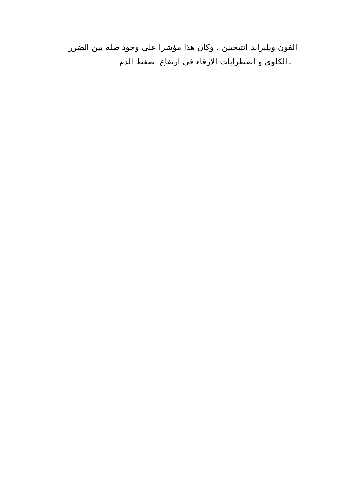الفون ويلبراند انتيجيين ، وكان هذا مؤشرا على وجود صلة بين الضرر .الكلوي و اضطرابات الرقاء في ارتفاع ضغط الدم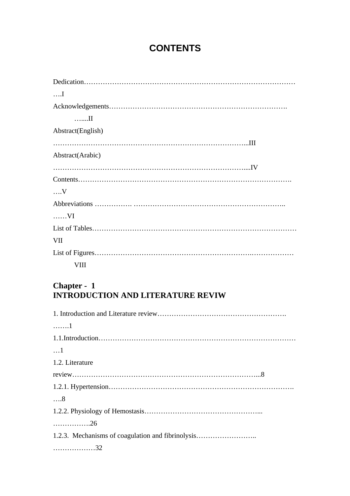## **CONTENTS**

| $\dots$           |
|-------------------|
|                   |
| II                |
| Abstract(English) |
|                   |
| Abstract(Arabic)  |
|                   |
|                   |
| $\dots V$         |
|                   |
| $\dots$ . VI      |
|                   |
| <b>VII</b>        |
|                   |
| <b>VIII</b>       |

#### **Chapter - 1 INTRODUCTION AND LITERATURE REVIW**

| 1                                                 |
|---------------------------------------------------|
|                                                   |
| $\dots$ 1                                         |
| 1.2. Literature                                   |
|                                                   |
|                                                   |
| $\dots8$                                          |
|                                                   |
| . 26                                              |
| 1.2.3. Mechanisms of coagulation and fibrinolysis |
| 32                                                |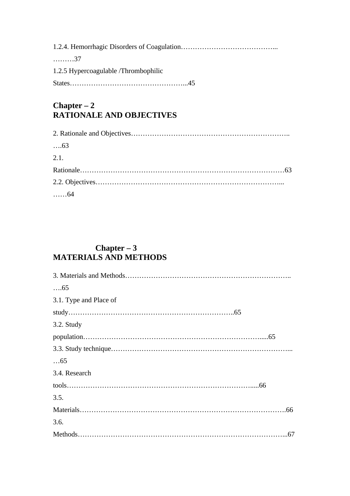| . 37                                 |  |
|--------------------------------------|--|
| 1.2.5 Hypercoagulable /Thrombophilic |  |
|                                      |  |
|                                      |  |

#### **Chapter – 2 RATIONALE AND OBJECTIVES**

| $\dots63$    |  |
|--------------|--|
| 2.1.         |  |
|              |  |
|              |  |
| $\ldots$ .64 |  |

#### **Chapter – 3 MATERIALS AND METHODS**

| $\dots$ 65             |
|------------------------|
| 3.1. Type and Place of |
|                        |
| 3.2. Study             |
|                        |
|                        |
| $\dots 65$             |
| 3.4. Research          |
|                        |
| 3.5.                   |
|                        |
| 3.6.                   |
|                        |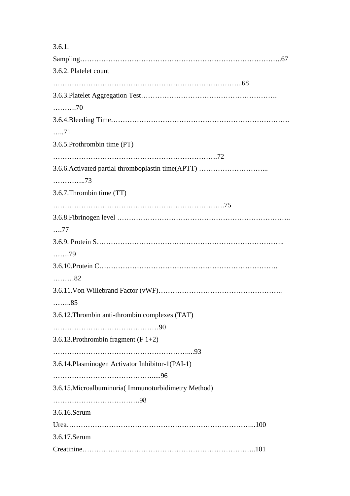3.6.1.

Sampling…………………………………………………………………………..67 3.6.2. Platelet count ……………………………………………………………………...68 3.6.3.Platelet Aggregation Test…………………………………………………. ……….70 3.6.4.Bleeding Time…………………………………………………………………. …..71 3.6.5.Prothrombin time (PT) …………………………………………………………….72 3.6.6.Activated partial thromboplastin time(APTT) ………………………... …………..73 3.6.7.Thrombin time (TT) ……………………………………………………………….75 3.6.8.Fibrinogen level ……………………………………………………………….. ….77 3.6.9. Protein S…………………………………………………………………….. …….79 3.6.10.Protein C…………………………………………………………………. ………82 3.6.11.Von Willebrand Factor (vWF)…………………………………………….. ……..85 3.6.12.Thrombin anti-thrombin complexes (TAT) ………………………………………90 3.6.13.Prothrombin fragment (F 1+2) …………………………………………………....93 3.6.14.Plasminogen Activator Inhibitor-1(PAI-1) …………………………………….....96 3.6.15.Microalbuminuria( Immunoturbidimetry Method) ……………………………….98 3.6.16.Serum Urea……………………………………………………………………...100 3.6.17.Serum Creatinine………………………………………………………………..101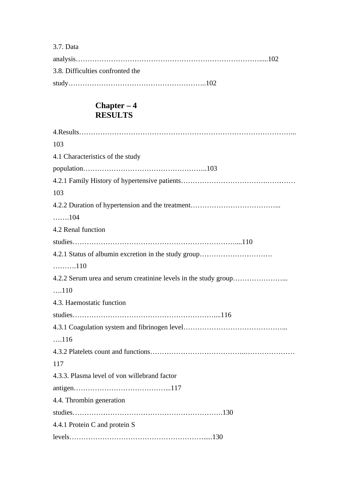#### 3.7. Data

| 3.8. Difficulties confronted the |  |
|----------------------------------|--|
|                                  |  |

#### **Chapter – 4 RESULTS**

| 103                                                  |
|------------------------------------------------------|
| 4.1 Characteristics of the study                     |
|                                                      |
|                                                      |
| 103                                                  |
|                                                      |
| $\ldots \ldots 104$                                  |
| 4.2 Renal function                                   |
|                                                      |
| 4.2.1 Status of albumin excretion in the study group |
| $\ldots \ldots \ldots 110$                           |
|                                                      |
| $\dots 110$                                          |
| 4.3. Haemostatic function                            |
|                                                      |
|                                                      |
| $\dots 116$                                          |
|                                                      |
| 117                                                  |
| 4.3.3. Plasma level of von willebrand factor         |
|                                                      |
| 4.4. Thrombin generation                             |
|                                                      |
| 4.4.1 Protein C and protein S                        |
|                                                      |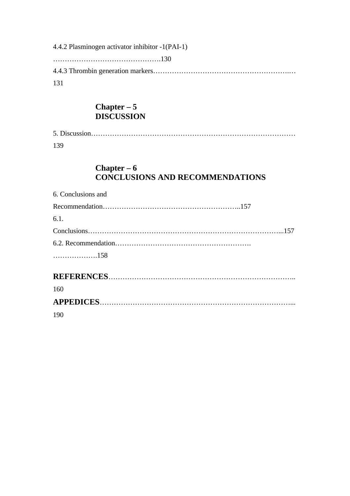4.4.2 Plasminogen activator inhibitor -1(PAI-1) ……………………………………….130 4.4.3 Thrombin generation markers………………………………………………….… 131

#### **Chapter – 5 DISCUSSION**

| 139 |  |
|-----|--|

#### **Chapter – 6 CONCLUSIONS AND RECOMMENDATIONS**

| 6. Conclusions and |
|--------------------|
|                    |
| 6.1.               |
|                    |
|                    |
| 158                |
|                    |
| 160                |
|                    |
| 190                |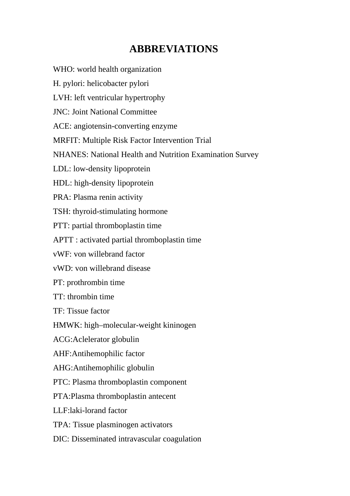# **ABBREVIATIONS**

WHO: world health organization H. pylori: helicobacter pylori LVH: left ventricular hypertrophy JNC: Joint National Committee ACE: angiotensin-converting enzyme MRFIT: Multiple Risk Factor Intervention Trial NHANES: National Health and Nutrition Examination Survey LDL: low-density lipoprotein HDL: high-density lipoprotein PRA: Plasma renin activity TSH: thyroid-stimulating hormone PTT: partial thromboplastin time APTT : activated partial thromboplastin time vWF: von willebrand factor vWD: von willebrand disease PT: prothrombin time TT: thrombin time TF: Tissue factor HMWK: high–molecular-weight kininogen ACG:Aclelerator globulin AHF:Antihemophilic factor AHG:Antihemophilic globulin PTC: Plasma thromboplastin component PTA:Plasma thromboplastin antecent LLF:laki-lorand factor TPA: Tissue plasminogen activators

DIC: Disseminated intravascular coagulation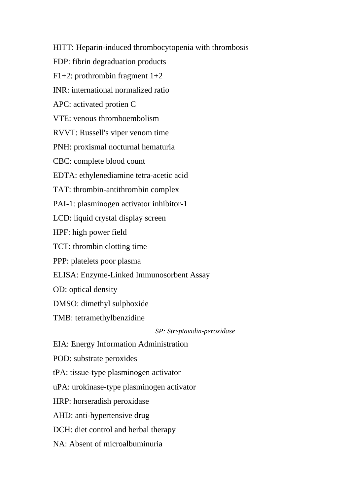HITT: Heparin-induced thrombocytopenia with thrombosis

FDP: fibrin degraduation products

F1+2: prothrombin fragment 1+2

INR: international normalized ratio

APC: activated protien C

VTE: venous thromboembolism

RVVT: Russell's viper venom time

PNH: proxismal nocturnal hematuria

CBC: complete blood count

EDTA: ethylenediamine tetra-acetic acid

TAT: thrombin-antithrombin complex

PAI-1: plasminogen activator inhibitor-1

LCD: liquid crystal display screen

HPF: high power field

TCT: thrombin clotting time

PPP: platelets poor plasma

ELISA: Enzyme-Linked Immunosorbent Assay

OD: optical density

DMSO: dimethyl sulphoxide

TMB: tetramethylbenzidine

*SP: Streptavidin-peroxidase* 

EIA: Energy Information Administration

POD: substrate peroxides

tPA: tissue-type plasminogen activator

uPA: urokinase-type plasminogen activator

HRP: horseradish peroxidase

AHD: anti-hypertensive drug

DCH: diet control and herbal therapy

NA: Absent of microalbuminuria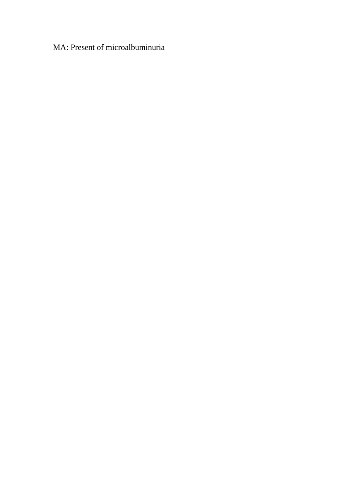## MA: Present of microalbuminuria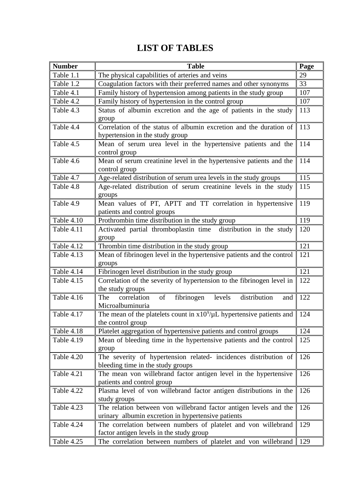# **LIST OF TABLES**

| <b>Number</b>     | <b>Table</b>                                                                                                            | Page |
|-------------------|-------------------------------------------------------------------------------------------------------------------------|------|
| Table 1.1         | The physical capabilities of arteries and veins                                                                         | 29   |
| Table 1.2         | Coagulation factors with their preferred names and other synonyms                                                       | 33   |
| Table 4.1         | Family history of hypertension among patients in the study group                                                        | 107  |
| Table 4.2         | Family history of hypertension in the control group                                                                     | 107  |
| Table 4.3         | Status of albumin excretion and the age of patients in the study<br>group                                               | 113  |
| Table 4.4         | Correlation of the status of albumin excretion and the duration of<br>hypertension in the study group                   | 113  |
| Table 4.5         | Mean of serum urea level in the hypertensive patients and the<br>control group                                          | 114  |
| Table 4.6         | Mean of serum creatinine level in the hypertensive patients and the<br>control group                                    | 114  |
| Table 4.7         | Age-related distribution of serum urea levels in the study groups                                                       | 115  |
| Table 4.8         | Age-related distribution of serum creatinine levels in the study<br>groups                                              | 115  |
| Table 4.9         | Mean values of PT, APTT and TT correlation in hypertensive<br>patients and control groups                               | 119  |
| <b>Table 4.10</b> | Prothrombin time distribution in the study group                                                                        | 119  |
| <b>Table 4.11</b> | Activated partial thromboplastin time<br>distribution in the study<br>group                                             | 120  |
| Table 4.12        | Thrombin time distribution in the study group                                                                           | 121  |
| Table 4.13        | Mean of fibrinogen level in the hypertensive patients and the control<br>groups                                         | 121  |
| Table 4.14        | Fibrinogen level distribution in the study group                                                                        | 121  |
| Table 4.15        | Correlation of the severity of hypertension to the fibrinogen level in<br>the study groups                              | 122  |
| <b>Table 4.16</b> | of<br>fibrinogen<br>levels<br>distribution<br>correlation<br>The<br>and<br>Microalbuminuria                             | 122  |
| Table 4.17        | The mean of the platelets count in $x10^9/\mu$ L hypertensive patients and<br>the control group                         | 124  |
| Table 4.18        | Platelet aggregation of hypertensive patients and control groups                                                        | 124  |
| <b>Table 4.19</b> | Mean of bleeding time in the hypertensive patients and the control<br>group                                             | 125  |
| <b>Table 4.20</b> | The severity of hypertension related- incidences distribution of<br>bleeding time in the study groups                   | 126  |
| <b>Table 4.21</b> | The mean von willebrand factor antigen level in the hypertensive<br>patients and control group                          | 126  |
| Table 4.22        | Plasma level of von willebrand factor antigen distributions in the<br>study groups                                      | 126  |
| Table 4.23        | The relation between von willebrand factor antigen levels and the<br>urinary albumin excretion in hypertensive patients | 126  |
| Table 4.24        | The correlation between numbers of platelet and von willebrand<br>factor antigen levels in the study group              | 129  |
| Table 4.25        | The correlation between numbers of platelet and von willebrand                                                          | 129  |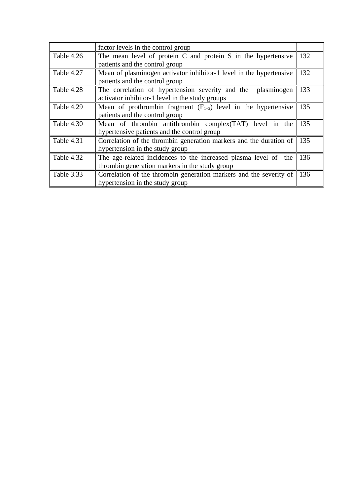|                   | factor levels in the control group                                  |     |
|-------------------|---------------------------------------------------------------------|-----|
| Table 4.26        | The mean level of protein C and protein S in the hypertensive       | 132 |
|                   | patients and the control group                                      |     |
| Table 4.27        | Mean of plasminogen activator inhibitor-1 level in the hypertensive | 132 |
|                   | patients and the control group                                      |     |
| Table 4.28        | The correlation of hypertension severity and the<br>plasminogen     | 133 |
|                   | activator inhibitor-1 level in the study groups                     |     |
| Table 4.29        | Mean of prothrombin fragment $(F_{1+2})$ level in the hypertensive  | 135 |
|                   | patients and the control group                                      |     |
| Table 4.30        | Mean of thrombin antithrombin complex(TAT) level in the             | 135 |
|                   | hypertensive patients and the control group                         |     |
| <b>Table 4.31</b> | Correlation of the thrombin generation markers and the duration of  | 135 |
|                   | hypertension in the study group                                     |     |
| Table 4.32        | The age-related incidences to the increased plasma level of the     | 136 |
|                   | thrombin generation markers in the study group                      |     |
| <b>Table 3.33</b> | Correlation of the thrombin generation markers and the severity of  | 136 |
|                   | hypertension in the study group                                     |     |